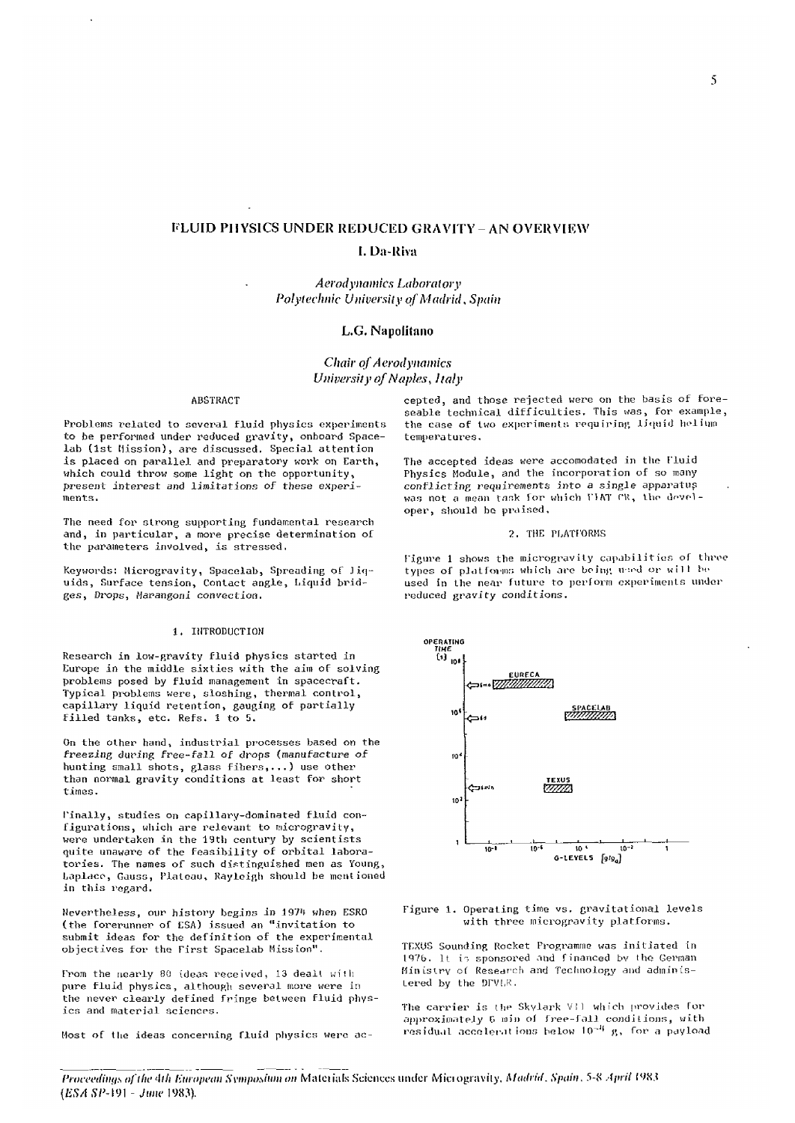# **FLUID PHYSICS UNDER REDUCED GRAVITY - AN OVERVIEW**

# **I. Da-Riva**

*Aerodynamics Laboratory Polytechnic University of Madrid, Spain* 

# **L.G. Napolitano**

*Chair of Aerodynamics University of Naples*, *Italy* 

Problems related to several fluid physics experiments to be performed under reduced gravity, onboard Space- temperatures, lab (1st Mission), are discussed. Special attention is placed on parallel and preparatory work on Earth, The accepted ideas were accomodated in the Fluid which could throw some light on the opportunity, Physics Module, and the incorporation of so many present interest and limitations of these experi- conflicting requirements into *a* single apparatus ments, was not a mean task for which VIAT CR, the devel-

The need for strong supporting fundamental research and, in particular, a more precise determination of 7. THE PLATFORMS the parameters involved, is stressed,

uids, Surface tension, Contact angle, Liquid brid- used in the near future to ges, Drops, Marangoni convection. ges, Drops, Marangoni convection.

#### 1. INTRODUCTION

Research in low-gravity fluid physics started in Europe in the middle sixties with the aim of solving problems posed by fluid management in spacecraft. Typical problems were, sloshing, thermal control, capillary liquid retention, gauging of partially filled tanks, etc. Refs. 1 to 5.

On the other hand, industrial processes based on the *freezing* during free-fall of drops (manufacture of hunting small shots, glass fibers,...) use other than normal gravity conditions at least for short times.

finally, studies on capillary-dominated fluid configurations, which are relevant to microgravity, were undertaken in the 19th century by scientists quite unaware of the feasibility of orbital laboratories. The names of such distinguished men as Young Laplace, Gauss, Plateau, Rayleigh should be mentioned in this regard.

Nevertheless, our history begins in 1974 when ESRO (the forerunner of ESA) issued an "invitation to submit ideas for the definition of the experimental objectives for the Pirst Spacelab Mission".

from the nearly 80 ideas received, 13 dealt wiih pure fluid physics, although several more were in the never clearly defined Fringe between fluid phys ics and material sciences.

Most of the ideas concerning fluid physics were ac-

ABSTRACT cepted, and those rejected were on the basis of foreseable technical difficulties. This was, for example,<br>the case of two experiments requiring liquid helium

> Physics Module, and the incorporation of so many oper, should he praised,

figure 1 shows the microgravity capabilities of three Keywords: Microgravity, Spacelab, Spreading of Jiq- types of platfonus which are being used or will be uids, Surface tension, Contact angle, Liquid brid- used in the near future to perform experiments under



Figure 1. Operating time vs. gravitational levels with three microgravity platforms.

TRXUS Sounding Rocket Programme was initiated in 1976. It is sponsored and financed by the German Ministry of Research and Technology and administered by the DrVhK.

The carrier is ihe Skylark VI] which provides for approximately 6 min of free-fall conditions, with residual accelerations below 10<sup>-4</sup> g, for a payload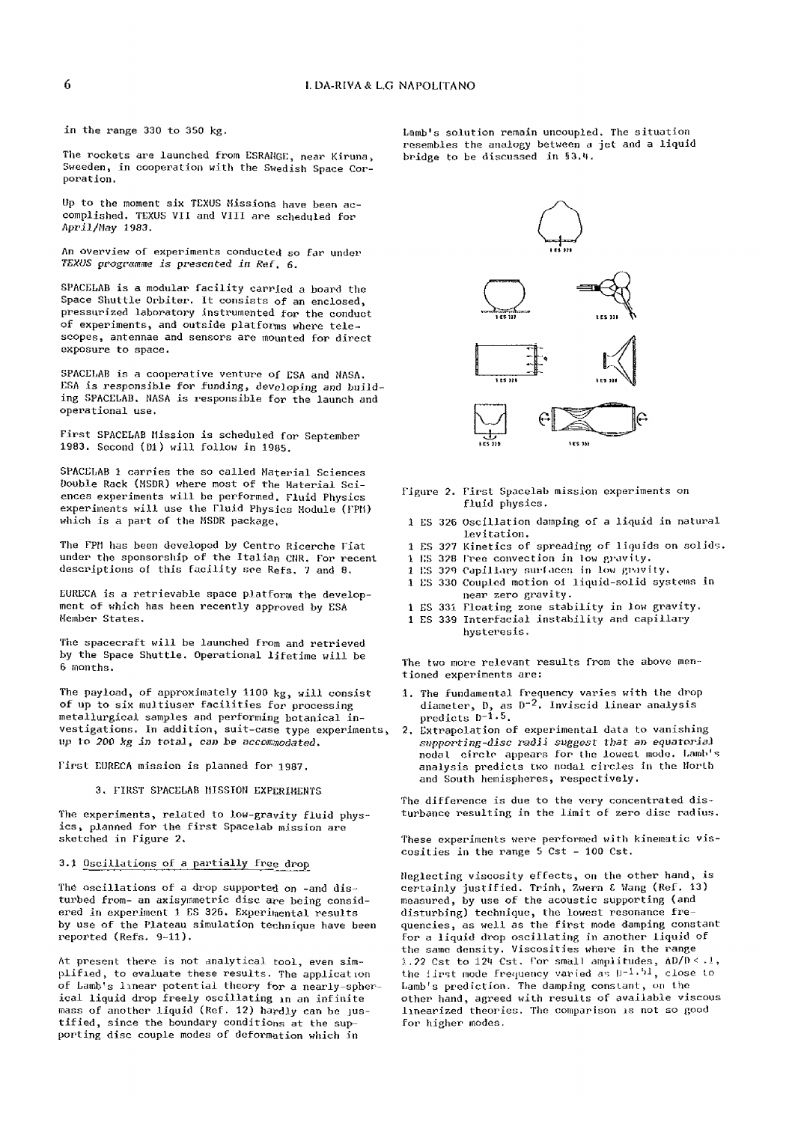in the range 330 to 350 kg.

The rockets are launched from ESRANGE, near Kiruna, Sweeden, in cooperation with the Swedish Space Corporation.

Up to the moment six TEXUS Hissions have been accomplished. TEXUS VII and VIII are scheduled for *April/May* 1983.

An overview of experiments conducted so far under *TEXUS programme is presented in Ref,* 6.

SPACELAB is a modular facility carried a board the Space Shuttle Orbiter. It consists of an enclosed, pressurized laboratory instrumented for the conduct of experiments, and outside platforms where telescopes, antennae and sensors are mounted for direct exposure to space.

SPACELAB is a cooperative venture of ESA and NASA. ESA is responsible for funding, developing and building SPACELAB. NASA is responsible for the launch and operational use.

First SPACELAB Mission is scheduled for September 1983. Second (Dl) will follow in 1985.

SPACELAB 1 carries the so called Material Sciences Double Rack (MSDR) where most of the Material Sciences experiments will be performed. Fluid Physics experiments will use the Fluid Physics Module (FPU) which is a part of the MSDR package,

The FPM has been developed by Centro Ricerche Fiat under the sponsorship of the Italian CUR. For recent descriptions of this facility see Refs. 7 and 8.

EURECA is a retrievable space platform the development of which has been recently approved by ESA Member States.

The spacecraft will be launched from and retrieved by the Space Shuttle. Operational lifetime will be 6 months.

The payload, of approximately 1100 kg, will consist of up to six multiuser facilities for processing metallurgical samples and performing botanical investigations. In addition, suit-case type experiments, up to 200 kg in total, can be accommodated.

First EURECA mission is planned for 1987.

3. FIRST SPACELAB MISSION EXPERIMENTS

The experiments, related to low-gravity fluid physics , planned for the first Spacelab mission are sketched in Figure 2.

## 3.J Oscillations of a partially free drop

The oscillations of a drop supported on -and disturbed from- an axisyrametric disc are being considered in experiment 1 ES 326. Experimental results by use of the Plateau simulation technique have been reported (Refs. 9-11).

At present there is not analytical tool, even simplified, to evaluate these results. The application of Lamb's linear potential theory for a nearly-spherical liquid drop freely oscillating in an infinite mass of another liquid (Ref. 12) hardly can be justified, since the boundary conditions at the supporting disc couple modes of deformation which in

Lamb's solution remain uncoupled. The situation resembles the analogy between a jet and a liquid bridge to be discussed in §3.'t.



- Figure 2. First Spacelab mission experiments on fluid physics.
- 1 ES 326 Oscillation damping of a liquid in natural levitation.
- 1 ES 327 Kinetics of spreading of liquids on solids.
- 1 ES 328 Free convection in low gravity.
- 1 ES 329 Capillary surfaces in low gravity.
- 1 ES 330 Coupled motion oi liquid-solid systems in near zero gravity.
- 1 ES 33i Floating zone stability in low gravity.
- 1 ES 339 Interfacial instability and capillary hysteresis.

The two more relevant results from the above mentioned experiments are:

- 1. The fundamental frequency varies with the drop diameter, D, as D~^. inviscid linear analysis predicts D-l.<sup>5</sup>.
- Extrapolation of experimental data to vanishing *supporting-disc radii suggest that* an equatorial nodal circle appears for the lowest mode. Lamb's analysis predicts two nodal circles in the North and South hemispheres, respectively.

The difference is due to the very concentrated disturbance resulting in the limit of zero disc radius.

These experiments were performed with kinematic viscosities in the range 5 Cst - 100 Cst.

Neglecting viscosity effects, on the other hand, is certainly justified. Trinh, Zwern & Wang (Ref. 13) measured, by use of the acoustic supporting (and disturbing) technique, the lowest resonance frequencies, as well as the first mode damping constant for a liquid drop oscillating in another liquid of the same density. Viscosities where in the range 1.22 Cst to 124 Cst, For small amplitudes,  $\Delta D/D \leq .1$ , the first mode frequency varied as  $D^{-1}$ . <sup>51</sup>, close to Lamb's prediction. The damping constant, on the other hand, agreed with results of available viscous linearized theories. The comparison is not so good for higher modes.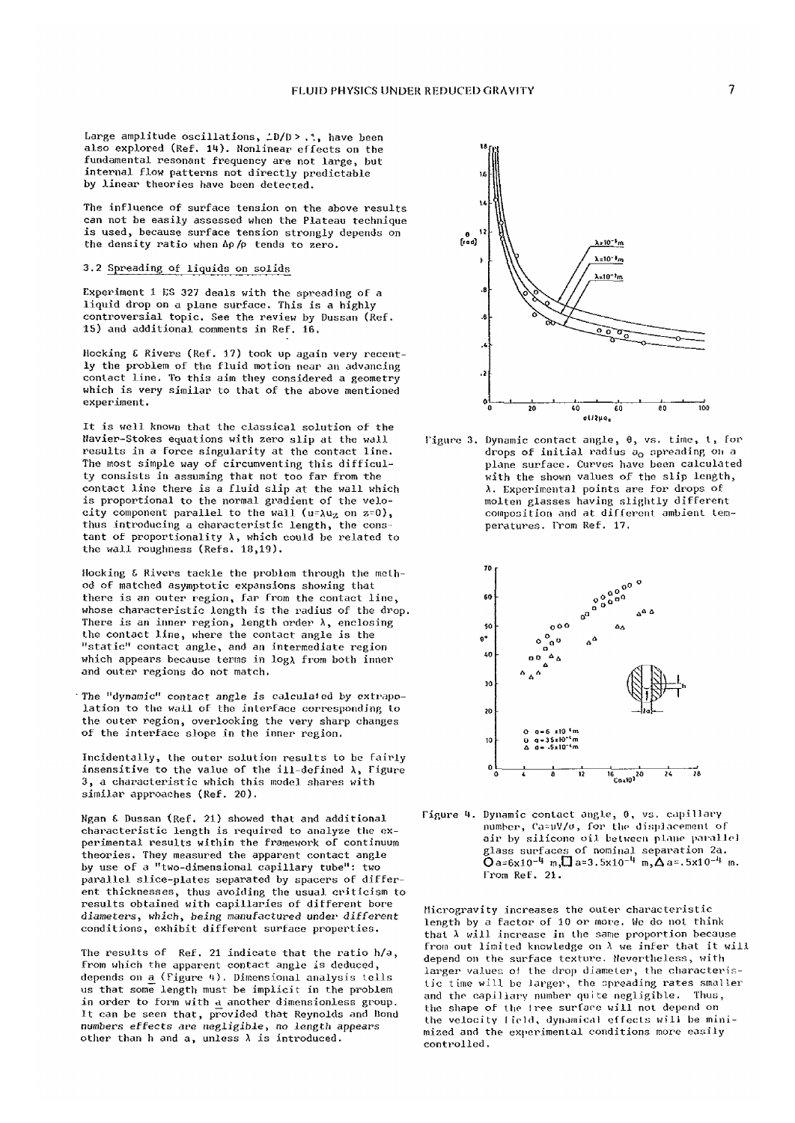Large amplitude oscillations,  $\angle D/D \geq 0.1$ , have been also explored (Ref. 14). Nonlinear effects on the fundamental resonant frequency are not large, but internal flow patterns not directly predictable by linear theories have been detected.

The influence of surface tension on the above results can not be easily assessed when the Plateau technique is used, because surface tension strongly depends on the density ratio when Ap/p tends to zero.

# 3.2 Spreading of liquids on solids

Experiment 1 ES 327 deals with the spreading of a liquid drop on a plane surface. This is a highly controversial topic. See the review by Dussan (Ref. IS) and additional comments in Ref, 16.

Hocking £ Rivers (Ref. 17) took up again very recently the problem of the fluid motion near an advancing contact line. To this aim they considered a geometry which is very similar to that of the above mentioned experiment.

It is well known that the classical solution of the Havier-Stokes equations with zero slip at the wall results in a force singularity at the contact line. The most simple way of circumventing this difficulty consists in assuming that not too far from the contact line there is a fluid slip at the wall which is proportional to the normal gradient of the velocity component parallel to the wall (u= $\lambda u_2$  on  $z=0$ ), thus introducing a characteristic length, the constant of proportionality  $\lambda$ , which could be related to the wall roughness {Refs. 18,19).

Hocking & Rivers tackle the problem through the method of matched asymptotic expansions showing that there is an outer region, far from the contact line, whose characteristic length is the radius of the drop. There is an inner region, length order  $\lambda$ , enclosing the contact line, where the contact angle is the "static" contact angle, and an intermediate region which appears because terms in log $\lambda$  from both inner and outer regions do not match.

'The "dynamic" contact angle is calcuiafed by extrapolation to the wall of the interface corresponding to the outer region, overlooking the very sharp changes of the interface slope in the inner region.

Incidentally, the outer solution results to be fairly insensitive to the value of the ill-defined  $\lambda$ , Figure 3, a characteristic which this model shares with similar approaches (Ref. 20).

Hgan £ Dussan {Ref. 21) showed that and additional characteristic length is required to analyze the experimental results within the framework of continuum theories. They measured the apparent contact angle by use of a "two-dimensional capillary tube": two parallel slice-plates separated by spacers of different thicknesses, thus avoiding the usual criticism to results obtained with capillaries of different bore diameters, which, being manufactured under *different*  conditions, exhibit different surface properties.

The results of Ref. 21 indicate that the ratio h/a, from which the apparent contact angle is deduced, depends on a (Figure 4). Dimensional analysis tells us that some length must be implicit in the problem in order to form with a another dimensionless group. it can be seen that, provided that Reynolds and Bond numbers effects are negligible, *no* length appears other than h and a, unless  $\lambda$  is introduced.



figure 3. Dynamic contact angle, 0, vs. time, t, for drops of initial radius  $a_0$  spreading on a plane surface. Curves have been calculated with the shown values of the slip length, A. Experimental points are for drops of molten glasses having slightly different composition and at different ambient temperatures. From Ref. 17.



Figure 4. Dynamic contact angle, 0, vs. capillary number, Ca=µV/o, for the displacement of air by silicone oil between plane parallel glass surfaces of nominal separation 2a.  $\overline{O}$ a=6x10<sup>-4</sup> m, $\overline{O}$ a=3.5x10<sup>-4</sup> m, $\overline{O}$ a=.5x10<sup>-4</sup> m. From ReF. 21.

Mierogravity increases the outer characteristic length by a factor of 10 or more. We do not think that  $\lambda$  will increase in the same proportion because from out limited knowledge on  $\lambda$  we infer that it will depend on the surface texture. Nevertheless, with larger values of the drop diameter, the characteristic time will be larger, the spreading rates smaller and the capillary number quite negligible. Thus, the shape of the Iree surfare will not depend on the velocity field, dynamical effects will be minimized and the experimental conditions more easily controlled.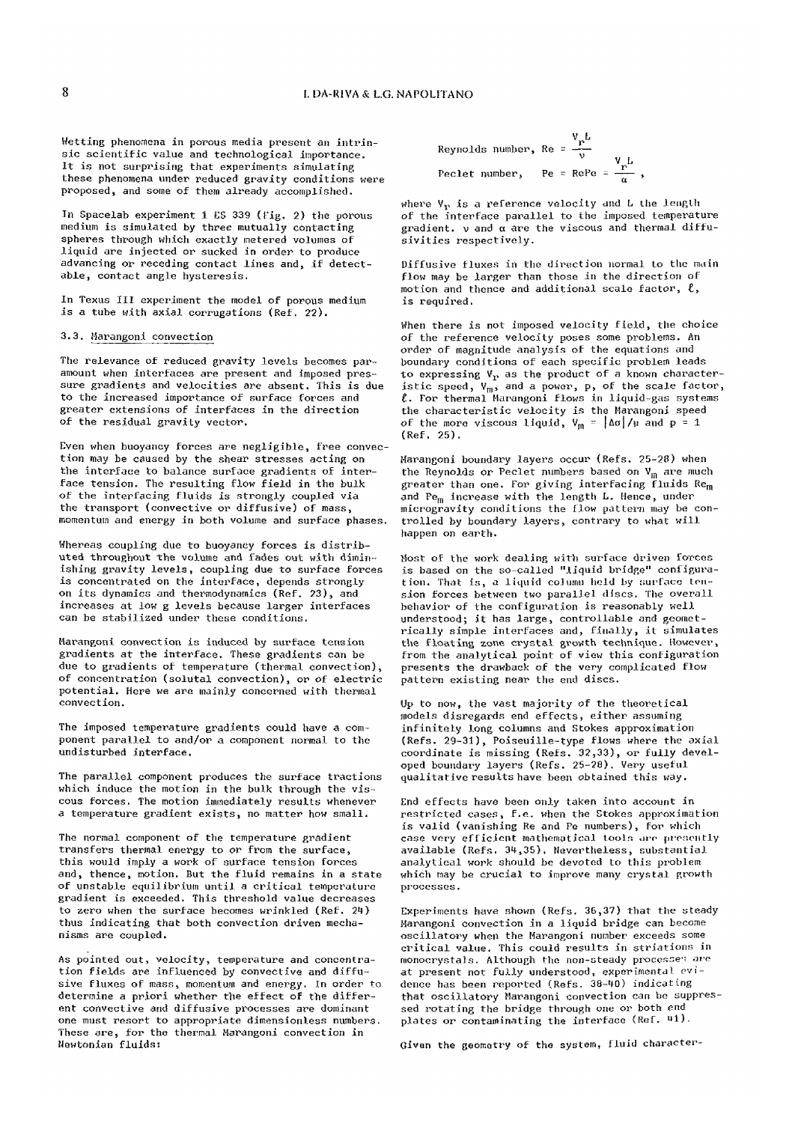Wetting phenomena in porous media present an intrinsic scientific value and technological importance. It is not surprising that experiments simulating these phenomena under reduced gravity conditions were proposed, and some of them already accomplished.

In Spacelab experiment 1 ES 339 (Fig. 2) the porous medium is simulated by three mutually contacting spheres through which exactly metered volumes of liquid are injected or sucked in order to produce advancing or receding contact lines and, if detectable, contact angle hysteresis.

In Texus III experiment the model of porous medium is a tube with axial corrugations (Ref. 22).

# 3.3, Harangoni convection

The relevance of reduced gravity levels becomes paramount when interfaces are present and imposed pressure gradients and velocities are absent. This is due to the increased importance of surface forces and greater extensions of interfaces in the direction of the residual gravity vector.

Even when buoyancy forces are negligible, free convection may be caused by the shear stresses acting on the interface to balance surface gradients of interface tension. The resulting flow field in the bulk of the interfacing fluids is strongly coupled via the transport (convective or diffusive) of mass, momentum and energy in both volume and surface phases.

Whereas coupling due to buoyancy forces is distributed throughout the volume and fades out with diminishing gravity levels, coupling due to surface forces is concentrated on the interface, depends strongly on its dynamics and thermodynamics (Ref, 23), and increases at low g levels because larger interfaces can be stabilized under these conditions.

Harangoni convection is induced by surface tension gradients at the interface. These gradients can be due to gradients of temperature (thermal convection), of concentration (solutal convection), or of electric potential. Here we are mainly concerned with thermal convection.

The imposed temperature gradients could have a component parallel to and/or a component normal to the undisturbed interface.

The parallel component produces the surface tractions which induce the motion in the bulk through the viscous forces. The motion immediately results whenever a temperature gradient exists, no matter how small.

The normal component of the temperature gradient transfers thermal energy to or from the surface, this would imply a work of surface tension forces and, thence, motion. But the fluid remains in a state of unstable equilibrium until a critical temperature gradient is exceeded. This threshold value decreases to zero when the surface becomes wrinkled (Ref. 24) thus indicating that both convection driven mechanisms are coupled,

As pointed out, velocity, temperature and concentration fields are influenced by convective and diffusive fluxes of mass, momentum and energy. In order to determine a priori whether the effect of the different convective and diffusive processes are dominant one must resort to appropriate dimensionless numbers. These are, for the thermal Marangoni convection in Newtonian fluids:

Reynolds number, Re = 
$$
\frac{v_{\text{p}}L}{v}
$$
  
Peclet number, Pe = RePe =  $\frac{v_{\text{p}}L}{\alpha}$ ,

where  $V_{\mathbf{V}}$  is a reference velocity and L the length of the interface parallel to the imposed temperature gradient, v and *a* are the viscous and thermal diffusivities respectively.

Diffusive fluxes in the direction normal to the main flow may be larger than those in the direction of motion and thence and additional scalo factor, *t ,*  is required.

When there is not imposed velocity field, the choice of the reference velocity poses some problems. An order of magnitude analysis of the equations and boundary conditions of each specific problem leads to expressing  $V_r$  as the product of a known characteristic speed,  $V_{\text{m}}$ , and a power, p, of the scale factor, *t-* For thermal Harangoni flows in liquid-gas systems the characteristic velocity is the Harangoni speed of the more viscous liquid,  $V_m = |\Delta\sigma|/\mu$  and  $p = 1$ (Ref, 25),

Harangoni boundary layers occur (Refs. 25-28) when the Reynolds or Peclet numbers based on  $V_m$  are much greater than one, For giving interfacing  $\tilde{r}$ luids Re<sub>m</sub> and Pe<sub>m</sub> increase with the length L. Hence, under microgravity conditions the flow pattern may be controlled by boundary layers, contrary to what will happen on earth.

Most of the work dealing with surface driven forces is based on the so-called "liquid bridge" configuration. That is, a liquid column held by surface tension forces between two parallel discs. The overall behavior of the configuration is reasonably well understood; it has large, controllable and geometrically simple interfaces and, finally, it simulates the floating zone crystal growth technique. However, from the analytical point of view this configuration presents the drawback of the very complicated flow pattern existing near the end discs.

Op to now, the vast majority of the theoretical models disregards end effects, either assuming infinitely long columns and Stokes approximation (Refs. 29-31), Poiseuille-type flows where the axial coordinate is missing (Refs. 32,33), or fully developed boundary layers (Refs. 25-28), Very useful qualitative results have been obtained this way.

End effects have been only taken into account in restricted cases, f.e, when the Stokes approximation is valid (vanishing Re and Pe numbers), For which case very efficient mathematical tools are presently available (Refs. 34,35), Nevertheless, substantial analytical work should be devoted to this problem which may be crucial to improve many crystal growth processes.

Experiments have shown (Refs. 36,37) that the steady Harangoni convection in a liquid bridge can become oscillatory when the Harangoni number exceeds some critical value. This could results in striations in monocrystals. Although the non-steady processes are at present not fully understood, experimental evidence has been reported (Refs. 38-40) indicating that oscillatory Marangoni convection can be suppressed rotating the bridge through one or both end plates or contaminating the interface (Ref. 41).

Given the geometry of the system, fluid character-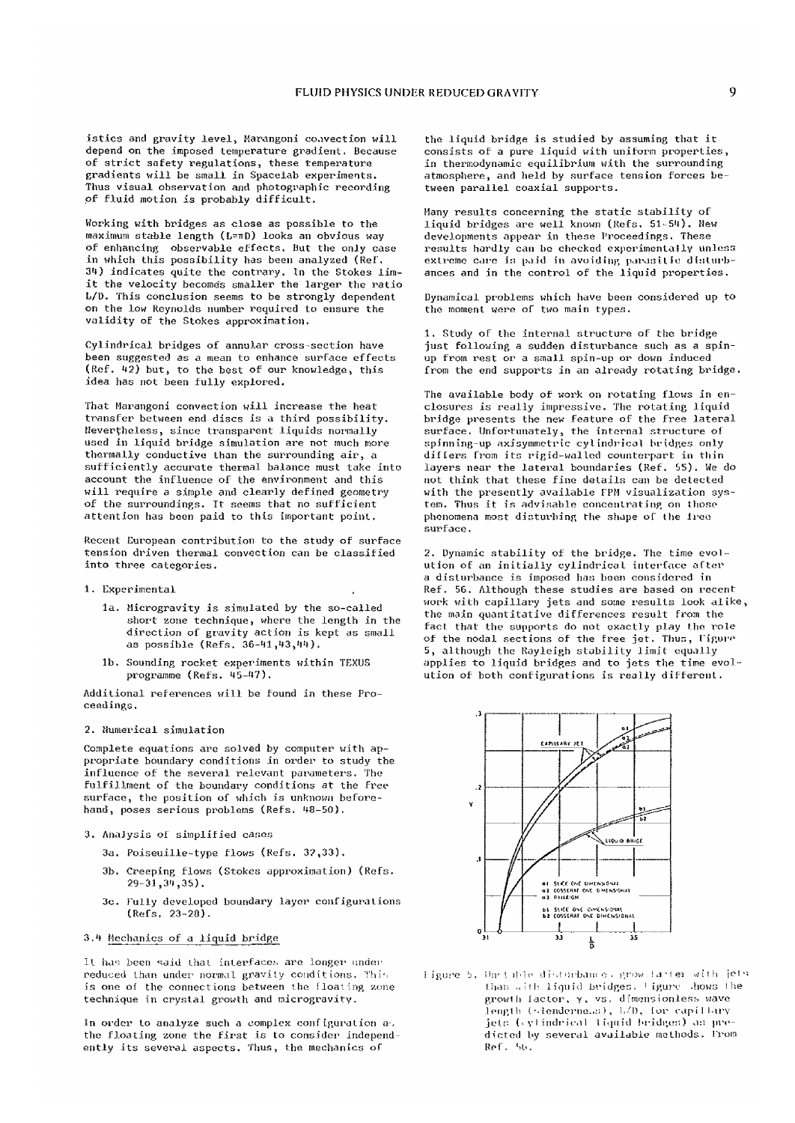istics and gravity level, Marangoni convection will depend on the imposed temperature gradient. Because of strict safety regulations, these temperature gradients will be small in Spacelab experiments. Thus visual observation and photographic recording of fluid motion is probably difficult.

Working with bridges as close as possible to the maximum stable length (L=nD) looks an obvious way of enhancing observable effects, But the only case in which this possibility has been analyzed (Kef. 34) indicates quite the contrary. In the Stokes limit the velocity becomes smaller the larger the ratio L/D. This conclusion seems to be strongly dependent on the low Reynolds number required to ensure the validity of the Stokes approximation.

Cylindrical bridges of annular cross-section have been suggested as a mean to enhance surface effects (Ref. 42) but, to the best of our knowledge, this idea has not been fully explored.

That Marangoni convection will increase the heat transfer between end discs is a third possibility. Nevertheless, since transparent liquids normally used in liquid bridge simulation are not much more thermally conductive than the surrounding air, a sufficiently accurate thermal balance must take into account the influence of the environment and this will require a simple and clearly defined geometry of the surroundings. It seems that no sufficient attention has been paid to this important point.

Recent European contribution to the study of surface tension driven thermal convection can be classified into three categories.

## 1. Experimental

- la. Hicrogravity is simulated by the so-called short zone technique, where the length in the direction of gravity action is kept as small as possible (Refs. 36-141,43,44).
- lb. Sounding rocket experiments within TEXUS programme (Refs. 45-47).

Additional references will be found in these Proceedings.

### 2. Numerical simulation

Complete equations are solved by computer with appropriate boundary conditions in order to study the influence of the several relevant parameters. The fulfillment of the boundary conditions at the free surface, the position of which is unknown beforehand, poses serious problems (Refs. 48-50).

## 3. Anajysis of simplified canes

- 3a. Poiseuille-type flows (Refs. 3?,33).
- 3b. Creeping flows (Stokes approximation) (Refs. 29-31,34,35).
- 3c. Tully developed boundary layer configurations  $(Refs, 23-28).$

# 3,4 Mechanics of a liquid bridge

It has been said that interfaces are longer under reduced than under normal gravity conditions. Thi'. is one of the connections between the floating zone technique in crystal growth and microgravity.

In order to analyze such a complex configuration a-, the floating zone the first is to consider independently its several aspects. Thus, the mechanics of

the liquid bridge is studied by assuming that it consists of a pure liquid with uniform properties, in thermodynamic equilibrium with the surrounding atmosphere, and held by surface tension forces between parallel coaxial supports.

Many results concerning the static stability of liquid bridges are well known (Refs, 51-54), Hew developments appear in these Proceedings. These results hardly can be checked experimentallv unless extreme care is paid in avoiding parasitic disturbances and in the control of the liquid properties.

Dynamical problems which have been considered up to the moment were of two main types.

1, Study of the internal structure of the bridge just following a sudden disturbance such as a spinup from rest or a small spin-up or down induced from the end supports in an already rotating bridge.

The available body of work on rotating flows in enclosures is really impressive. The rotating liquid bridge presents the new feature of the free lateral surface. Unfortunately, the internal structure of spinning-up axisyminetric cylindrical bridges only differs from its rigid-walled counterpart in thin layers near the lateral boundaries (Ref. 55). We do not think that these fine details can be detected with the presently available FPM visualization system. Thus it is advisable concentrating on those phenomena most disturbing the shape of the free surface.

*2.* Dynamic stability of the bridge. The time evolution of an initially cylindrical interface after a disturbance is imposed has been considered in Ref. 56. Although these studies are based on recent work with capillary jets and some results look alike, the main quantitative differences result from the fact that the supports do not exactly play the role of the nodal sections of the free jet. Thus, Figure 5, although the Rayleigh stability limit equally applies to liquid bridges and to jets the time evolution of both configurations is really different.



Tigure 5. Unstable disturbance, grow faster with jetsthan  $u$ ith liquid bridges. ' igure .hows the growth lactor, y, vs. dimensionless wave length (stenderne.s:), 1/D, for capillary jets (cylindrical liquid bridges) as predicted by several available methods. Trom  $Ref.$   $5b.$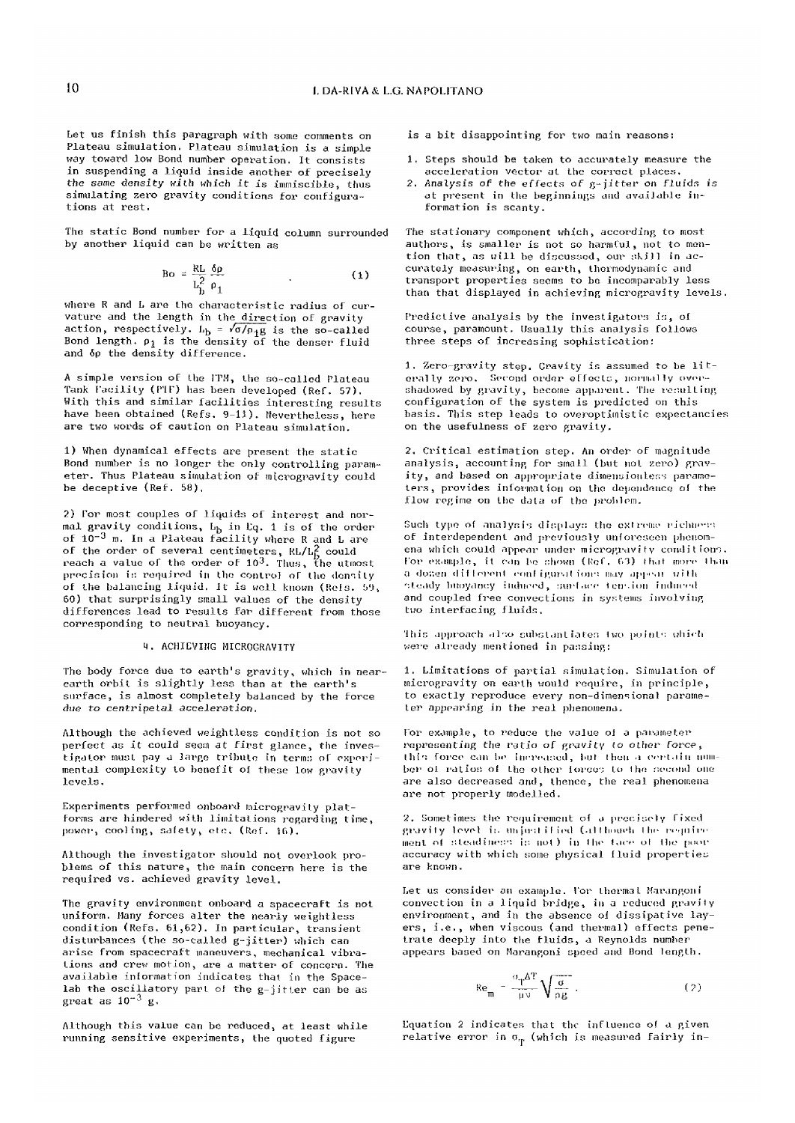Let us finish this paragraph with some comments on Plateau simulation. Plateau simulation is a simple way toward low Bond number operation. It consists in suspending a liquid inside another of precisely the same density with which it is immiscible, thus simulating zero gravity conditions for configurations at rest.

The static Bond number for a liquid column surrounded by another liquid can be written as

$$
\text{Bo} = \frac{\text{RL}}{\text{L}_{\text{b}}^2} \frac{\delta \rho}{\rho_1} \tag{1}
$$

where R and L are the characteristic radius of curvature and the length in the direction of gravity action, respectively.  $L_b = \sqrt{\sigma/\rho_1 g}$  is the so-called Bond length,  $\rho_{\texttt{j}}$  is the density of the denser fluid and 6p the density difference.

A simple version of the ITM, the so-called Plateau Tank facility (PIE) has been developed (Ref. 57). With this and similar facilities interesting results have been obtained (Refs. 9-11). Nevertheless, here are two words of caution on Plateau simulation.

1) When dynamical effects are present the static Bond number is no longer the only controlling parameter. Thus Plateau simulation of mtcrogravity could be deceptive {Ref. 58),

2) for most couples of liquids of interest and normal gravity conditions,  $L_b$  in Eq. 1 is of the order of 10<sup>-3</sup> m. In a Plateau facility where R and L are of the order of several centimeters,  $\mathtt{RL/Lf}$  could reach a value of the order of 10<sup>3</sup>. Thus, the utmost precision is required in the control oT Hie density of the balancing liquid. It is well known (Refs. 59, 60) that surprisingly small values of the density differences lead to results Far different from those corresponding to neutral buoyancy.

## **4. ACHIEVING MICROGRAVITY**

The body force due to earth's gravity, which in nearearth orbit is slightly less than at the earth's surface, is almost completely balanced by the force *due to centripetal acceleration,* 

Although the achieved weightless condition is not so perfect as it could seem at first glance, the investigator must pay a large tribute in terms of experimental complexity to benefit ol these low gravity levels.

Experiments performed onboard microgravity platforms are hindered with limitations regarding time, power, cooling, safety, etc. (Ref. 16).

Although the investigator should not overlook problems of this nature, the main concern here is the required vs. achieved gravity level.

The gravity environment onboard a spacecraft is not uniform. Many forces alter the nearly weightless condition (Refs. 61,62). In particular, transient disturbances (the so-called g-jitter) which can arise from spacecraft maneuvers, mechanical vibrations and crew motion, are a matter of concern. The available information indicates that in the Spacelab the oscillatory part ol the g-jitter can be as great as  $10^{-3}$  g.

Although this value can be reduced, at least while running sensitive experiments, the quoted figure

is a bit disappointing for two main reasons:

- 1. Steps should be taken to accurately measure the acceleration vector at the correct places,
- *2.* Analysis of the effects of g-jitter on fluids *is*  at present in the beginnings and available information is scanty.

The stationary component which, according to most authors, is smaller is not so harmful, not to mention that, as will be discussed, our skill in accurately measuring, on earth, thermodynamic and transport properties seems to be incomparably less than that displayed in achieving microgravity levels.

Predictive analysis by the investigators is, ol course, paramount. Usually this analysis follows three steps of increasing sophistication:

1. Zero-gravity step. Gravity is assumed to be literally zero. Second order effects, normally overshadowed by gravity, become apparent. The resulting configuration of the system is predicted on this basis. This step leads to overoptimistic expectancies on the usefulness of zero gravity.

2, Critical estimation step. An order of magnitude analysis, accounting for small (but not zero) gravity, and based on appropriate dimensiouless parameters, provides information on the dependence ol the flow regime on the data of the problem.

Such type of analysis displays the extreme richness of interdependent and previously unforeseen phenomena which could appear under microgravitv conditions. for example, it can be shown (Ref. 63) that more than a domen different configurations may appear with '•.teady buoyancy hidueed, surl .ire terr-iun induced and coupled free convections in systems involving two interfacing fluids,

This approach also substantiates Iwo points which were already mentioned in passing:

1. Limitations of partial simulation. Simulation of microgravity on earth would require, in principle, to exactly reproduce every non-dimensional parameter appearing in the real phenomena.

for example, to reduce the value ol a parameter representing the ratio of gravitv *io* other force, Ibis force can he increased, hut I hull a certain number ol ratios; ol the other ioreos to Ihe second one are also decreased and, thence, the real phenomena are not properly modelled.

2, Sometimes the requirement of a precisely Tixed gravity level is unjustified (although the require ment of steadiness is not) in the face of the poor accuracy with which some physical Iluid properties are known.

Let us consider an example, for thernia L Marangon i convection in a liquid bridge, in a reduced gravity environment, and in the absence oi dissipative layers, i.e., when viscous (and thermal) effects penetrate deeply into the fluids, a Reynolds number appears based on Marangoni speed and Bond length.

$$
\text{Re}_{\mathfrak{m}} = \frac{\sigma_{\mathfrak{T}} \Delta^{\mathfrak{T}}}{\mu \nu} \sqrt{\frac{\sigma}{\rho g}} \tag{2}
$$

Equation 2 indicates that the influence ol a given relative error in  $\sigma_{\rm T}$  (which is measured fairly in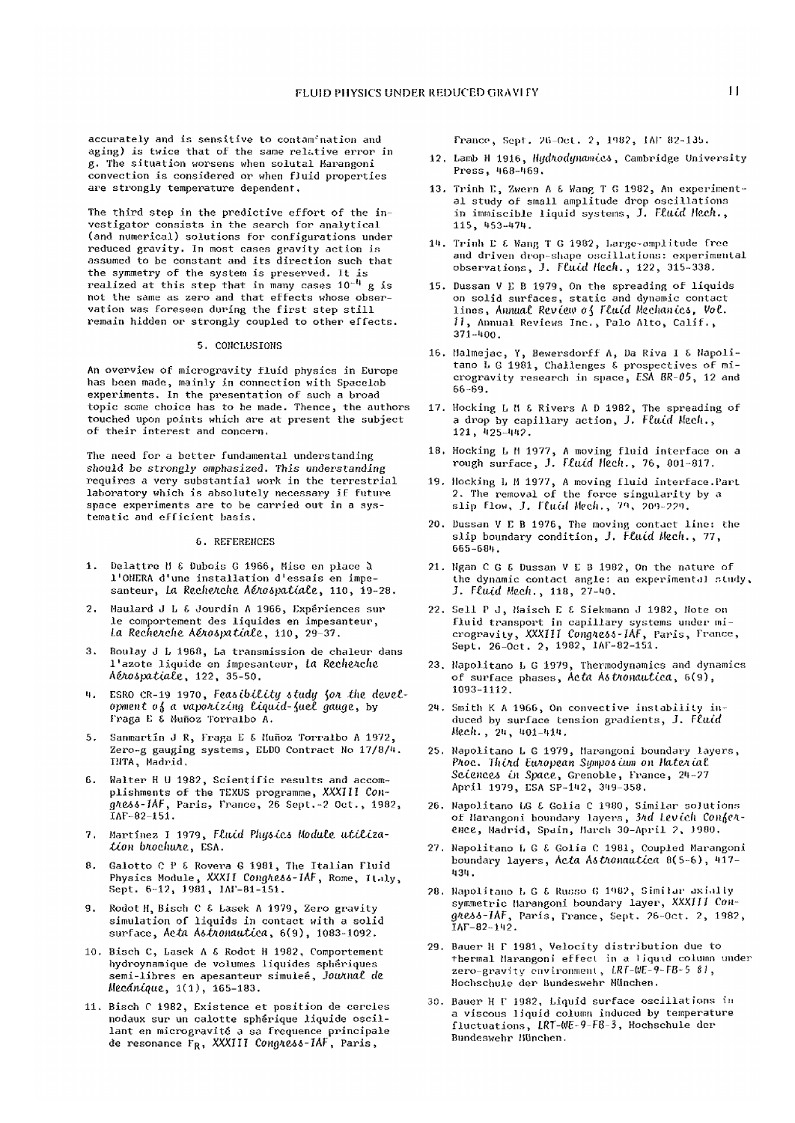accurately and is sensitive to contam'nation and aging) is twice that of the same relative error in g. The situation worsens when solutal Harangoni convection is considered or when fJuid properties are strongly temperature dependent,

The third step in the predictive effort of the investigator consists in the search for analytical (and numerical) solutions For configurations under reduced gravity. In most cases gravity action is assumed to be constant and its direction such that the symmetry of the system is preserved. It is realized at this step that in many cases  $10^{-11}$  g is not the same as zero and that effects whose observation was foreseen during the first step still remain hidden or strongly coupled to other effects.

# 5. CONCLUSIONS

An overview of microgravity fluid physics in Europe has been made, mainly in connection with Spacelab experiments. In the presentation of such a broad topic some choice has to be made. Thence, the authors touched upon points which are at present the subject of their interest and concern.

The need for a better fundamental understanding should be *strongly* emphasized. This understanding requires a very substantial work in the terrestrial laboratory which is absolutely necessary if future space experiments are to be carried out in a systematic and efficient basis,

#### 6. REFEREHCES

- 1. Delattre M 6 Dubois G 1966, Mise en place a l'OHERA d'une installation d'essais en impesanteur, *La Recherche Aérospatiale*, 110, 19-28.
- 2. Haulard J L £ Jourdin A 1966, Experiences sur le comportement des liquides en impesanteur, *ta RecheAche, AeAOipatialc,* 110, 29-37.
- 3. fioulay J L 1960, La transmission de chaleur dans l'azot e liquide en impesanteur, *La [Re.che.1ch](Re.che.Kche)e, AeJioipatiatt*, 122, 35-50.
- M. ESRO CR-19 1970, *Featibilitij itudij {oi the development o^ a vaporizing Liquid-^uet gauge.,* by Fraga E £ Mufioz Torralbo A.
- 5. Sanmartín J R, Fraga E & Huñoz Torralbo A 1972, Zero-g gauging systems, ELDO Contract Ho 17/8/4. INTA, Madrid,
- 6. Halter H U 1982, Scientific results and accomplishments of the TEXUS programme, XXXIII *CongieAi-lAF*, Paris, Trance, 26 Sept.-2 Oct., 1982, IAF-82-151.
- 7. Martinez I 1979, Fluid Physics Module utiliza*tion btocliuAe,* ESA.
- 8. Galotto C P & Rovera G 1981, The Italian Fluid Physics Module, XXXII *CoHgfieii-lAF*, Rome, Il.ily, Sept. 6-12, 1991, IAF-81-151.
- 9. Rodot H, Bisch C & Lasek A 1979, Zero gravity simulation of liquids in contact with a solid surface, Acta Astronautica, 6(9), 1083-1092.
- 10. Bisch C, Lasek A £ Rodot H 1982, Comportement hydroynamique de volumes liquides spheriques semi-libres en apesanteur simulee, *Jouftnat de. Mecdniquc,* 1(1), 165-183.
- 11. Bisch C 1982, Existence et position de cercles nodaux sur un calotte spherique liquide oseillant en microgravité a sa frequence principale de resonance F<sub>R</sub>, XXXIII Congress-IAF, Paris,

France, Kept. 26-Oct. 2, 1902, JA1" 82-135.

- 12. Lamb H 1916, *Htjd>iodijnamici*, Cambridge University Press, 468-469.
- 13. Trinh E, Zwern A £ Wang T G 1982, An experimental study of small amplitude drop oscillations in immiscible liquid systems, J. Fluid Hech., 115, 453-174.
- 14. Trinh E £ Hang T G 1982, Largo-amplitude free and driven drop-shape oscillations: experimental observations, J. *Ftuid Hcch. ,* 122, 315-338.
- 15. Dussan V E B 1979, On the spreading of liquids on solid surfaces, static and dynamic contact lines, Annual Review of *Fluid Mechanics*, Vol. II, Annual Reviews Inc., Palo Alto, Calif., 371-400.
- 16. Malmejac, Y, Bewersdorff A, Da Riva I £ Hapolitano L G 1981, Challenges £ prospectives of microgravity research in space, ESA BR-05, 12 and 66-69.
- 17. Hocking L II £ Rivers A D 1982, The spreading of a drop by capillary action, J. Fluid Mech., . 121, 425-442.
- 18. Hocking L 11 1977, A moving fluid interface on a rough surface, J. *Fluid* llec/l., 76, 801-817.
- 19. Hocking L M 1977, A moving fluid interface .Part 2. The removal of the force singularity by a slip Flow, J. Fluid Mech., 79, 209-229.
- 20. Dussan V E B 1976, The moving contact line: the slip boundary condition, *J. Ftuid* Mecli., 77, 665-604.
- 21. Ngan C G £ Dussan V E B 1982, On the nature of the dynamic contact angle: an experimental study, J. *Fluid ticch. ,* 118, 27-40.
- 22. Sell P J, Haisch E £ Siekmann J 1982, Hote on fluid transport in capillary systems under microgravity, XXXIII *ConglCfsts-lAFy* Paris, France, Sept. 26-Oct. 2, 1982, 1AF-82-151.
- 23. Hapolitano L G 1979, Thermodynamics and dynamics of surface phases, *Acta. A&pionautica,* 6(9), 1093-1112.
- 24. Smitli K A 1966, On connective instability induced by surface tension gradients, *J. Fluid*  Mech., 24, 401-414.
- 25. Hapolitano L G 1979, Marangoni boundary layers, *Phoc. Thind European Symposium on Haterial* Sciences in Space, Grenoble, France, 24-27 April 1979, ESA SP-142, 349-358.
- 26. Hapolitano EG £ Golia C 1980, Similar sojutions of Harangoni boundary layers, 3*nd Levich Confen*ence, Madrid, Spain, March 30-April 2, 1980.
- 27. Hapolitano I. G £ Golia C 1981, Coupled Marangoni boundary layers, *Acta A&ViOnautica* 8(5-6), 417- 434.
- 20. Hapolitano 1, G £ Russo G 1902, Gimilur axial ly symmetric Marangoni boundary layer, XXXIII Con*gtieAi-lAFt* Paris, France, Sept. ?6-0ct. 2, 1982, IAF-82-142.
- 29. Bauer H F 1981, Velocity distribution due to thermal Marangoni efFect in a 1iquid column under zero-gravity environment, LRT-WE-9-FB-5 *SI,*  Hochschule der Bundeswehr München.
- 30. Bauer H F 1982, Liquid surface oscillations in a viscous liquid column induced by temperature fluctuations, LRT-WE-9-F8-3, Hochschule der Bundeswehr Hünchen.